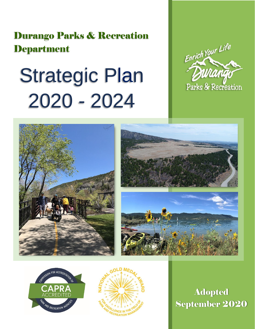Durango Parks & Recreation **Department** 

# Strategic Plan 2020 - 2024











**Adopted** September 2020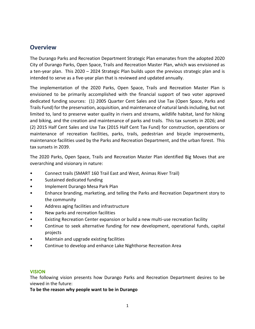## **Overview**

The Durango Parks and Recreation Department Strategic Plan emanates from the adopted 2020 City of Durango Parks, Open Space, Trails and Recreation Master Plan, which was envisioned as a ten-year plan. This 2020 – 2024 Strategic Plan builds upon the previous strategic plan and is intended to serve as a five-year plan that is reviewed and updated annually.

The implementation of the 2020 Parks, Open Space, Trails and Recreation Master Plan is envisioned to be primarily accomplished with the financial support of two voter approved dedicated funding sources: (1) 2005 Quarter Cent Sales and Use Tax (Open Space, Parks and Trails Fund) for the preservation, acquisition, and maintenance of natural lands including, but not limited to, land to preserve water quality in rivers and streams, wildlife habitat, land for hiking and biking, and the creation and maintenance of parks and trails. This tax sunsets in 2026; and (2) 2015 Half Cent Sales and Use Tax (2015 Half Cent Tax Fund) for construction, operations or maintenance of recreation facilities, parks, trails, pedestrian and bicycle improvements, maintenance facilities used by the Parks and Recreation Department, and the urban forest. This tax sunsets in 2039.

The 2020 Parks, Open Space, Trails and Recreation Master Plan identified Big Moves that are overarching and visionary in nature:

- Connect trails (SMART 160 Trail East and West, Animas River Trail)
- Sustained dedicated funding
- Implement Durango Mesa Park Plan
- Enhance branding, marketing, and telling the Parks and Recreation Department story to the community
- Address aging facilities and infrastructure
- New parks and recreation facilities
- Existing Recreation Center expansion or build a new multi-use recreation facility
- Continue to seek alternative funding for new development, operational funds, capital projects
- Maintain and upgrade existing facilities
- Continue to develop and enhance Lake Nighthorse Recreation Area

#### **VISION**

The following vision presents how Durango Parks and Recreation Department desires to be viewed in the future:

**To be the reason why people want to be in Durango**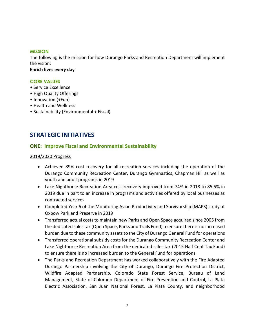#### **MISSION**

The following is the mission for how Durango Parks and Recreation Department will implement the vision:

**Enrich lives every day**

#### **CORE VALUES**

- Service Excellence
- High Quality Offerings
- Innovation (+Fun)
- Health and Wellness
- Sustainability (Environmental + Fiscal)

# **STRATEGIC INITIATIVES**

#### **ONE: Improve Fiscal and Environmental Sustainability**

#### 2019/2020 Progress

- Achieved 89% cost recovery for all recreation services including the operation of the Durango Community Recreation Center, Durango Gymnastics, Chapman Hill as well as youth and adult programs in 2019
- Lake Nighthorse Recreation Area cost recovery improved from 74% in 2018 to 85.5% in 2019 due in part to an increase in programs and activities offered by local businesses as contracted services
- Completed Year 6 of the Monitoring Avian Productivity and Survivorship (MAPS) study at Oxbow Park and Preserve in 2019
- Transferred actual costs to maintain new Parks and Open Space acquired since 2005 from the dedicated sales tax (Open Space, Parks and Trails Fund) to ensure there is no increased burden due to these community assets to the City of Durango General Fund for operations
- Transferred operational subsidy costs for the Durango Community Recreation Center and Lake Nighthorse Recreation Area from the dedicated sales tax (2015 Half Cent Tax Fund) to ensure there is no increased burden to the General Fund for operations
- The Parks and Recreation Department has worked collaboratively with the Fire Adapted Durango Partnership involving the City of Durango, Durango Fire Protection District, Wildfire Adapted Partnership, Colorado State Forest Service, Bureau of Land Management, State of Colorado Department of Fire Prevention and Control, La Plata Electric Association, San Juan National Forest, La Plata County, and neighborhood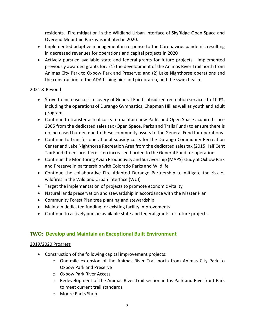residents. Fire mitigation in the Wildland Urban Interface of SkyRidge Open Space and Overend Mountain Park was initiated in 2020.

- Implemented adaptive management in response to the Coronavirus pandemic resulting in decreased revenues for operations and capital projects in 2020
- Actively pursued available state and federal grants for future projects. Implemented previously awarded grants for: (1) the development of the Animas River Trail north from Animas City Park to Oxbow Park and Preserve; and (2) Lake Nighthorse operations and the construction of the ADA fishing pier and picnic area, and the swim beach.

#### 2021 & Beyond

- Strive to increase cost recovery of General Fund subsidized recreation services to 100%, including the operations of Durango Gymnastics, Chapman Hill as well as youth and adult programs
- Continue to transfer actual costs to maintain new Parks and Open Space acquired since 2005 from the dedicated sales tax (Open Space, Parks and Trails Fund) to ensure there is no increased burden due to these community assets to the General Fund for operations
- Continue to transfer operational subsidy costs for the Durango Community Recreation Center and Lake Nighthorse Recreation Area from the dedicated sales tax (2015 Half Cent Tax Fund) to ensure there is no increased burden to the General Fund for operations
- Continue the Monitoring Avian Productivity and Survivorship (MAPS) study at Oxbow Park and Preserve in partnership with Colorado Parks and Wildlife
- Continue the collaborative Fire Adapted Durango Partnership to mitigate the risk of wildfires in the Wildland Urban Interface (WUI)
- Target the implementation of projects to promote economic vitality
- Natural lands preservation and stewardship in accordance with the Master Plan
- Community Forest Plan tree planting and stewardship
- Maintain dedicated funding for existing facility improvements
- Continue to actively pursue available state and federal grants for future projects.

## **TWO: Develop and Maintain an Exceptional Built Environment**

#### 2019/2020 Progress

- Construction of the following capital improvement projects:
	- o One-mile extension of the Animas River Trail north from Animas City Park to Oxbow Park and Preserve
	- o Oxbow Park River Access
	- o Redevelopment of the Animas River Trail section in Iris Park and Riverfront Park to meet current trail standards
	- o Moore Parks Shop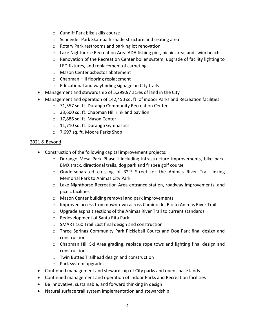- o Cundiff Park bike skills course
- o Schneider Park Skatepark shade structure and seating area
- o Rotary Park restrooms and parking lot renovation
- o Lake Nighthorse Recreation Area ADA fishing pier, picnic area, and swim beach
- o Renovation of the Recreation Center boiler system, upgrade of facility lighting to LED fixtures, and replacement of carpeting
- o Mason Center asbestos abatement
- o Chapman Hill flooring replacement
- o Educational and wayfinding signage on City trails
- Management and stewardship of 5,299.97 acres of land in the City
- Management and operation of 142,450 sq. ft. of indoor Parks and Recreation facilities:
	- o 71,557 sq. ft. Durango Community Recreation Center
	- o 33,600 sq. ft. Chapman Hill rink and pavilion
	- o 17,886 sq. ft. Mason Center
	- o 11,710 sq. ft. Durango Gymnastics
	- o 7,697 sq. ft. Moore Parks Shop

#### 2021 & Beyond

- Construction of the following capital improvement projects:
	- o Durango Mesa Park Phase I including infrastructure improvements, bike park, BMX track, directional trails, dog park and frisbee golf course
	- o Grade-separated crossing of 32<sup>nd</sup> Street for the Animas River Trail linking Memorial Park to Animas City Park
	- o Lake Nighthorse Recreation Area entrance station, roadway improvements, and picnic facilities
	- o Mason Center building removal and park improvements
	- o Improved access from downtown across Camino del Rio to Animas River Trail
	- $\circ$  Upgrade asphalt sections of the Animas River Trail to current standards
	- o Redevelopment of Santa Rita Park
	- o SMART 160 Trail East final design and construction
	- o Three Springs Community Park Pickleball Courts and Dog Park final design and construction
	- o Chapman Hill Ski Area grading, replace rope tows and lighting final design and construction
	- o Twin Buttes Trailhead design and construction
	- o Park system upgrades
- Continued management and stewardship of City parks and open space lands
- Continued management and operation of indoor Parks and Recreation facilities
- Be innovative, sustainable, and forward thinking in design
- Natural surface trail system implementation and stewardship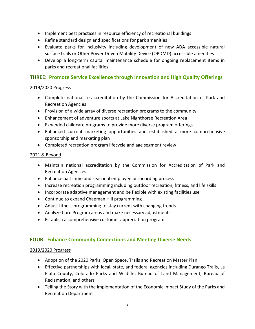- Implement best practices in resource efficiency of recreational buildings
- Refine standard design and specifications for park amenities
- Evaluate parks for inclusivity including development of new ADA accessible natural surface trails or Other Power Driven Mobility Device (OPDMD) accessible amenities
- Develop a long-term capital maintenance schedule for ongoing replacement items in parks and recreational facilities

## **THREE: Promote Service Excellence through Innovation and High Quality Offerings**

#### 2019/2020 Progress

- Complete national re-accreditation by the Commission for Accreditation of Park and Recreation Agencies
- Provision of a wide array of diverse recreation programs to the community
- Enhancement of adventure sports at Lake Nighthorse Recreation Area
- Expanded childcare programs to provide more diverse program offerings
- Enhanced current marketing opportunities and established a more comprehensive sponsorship and marketing plan
- Completed recreation program lifecycle and age segment review

#### 2021 & Beyond

- Maintain national accreditation by the Commission for Accreditation of Park and Recreation Agencies
- Enhance part-time and seasonal employee on-boarding process
- Increase recreation programming including outdoor recreation, fitness, and life skills
- Incorporate adaptive management and be flexible with existing facilities use
- Continue to expand Chapman Hill programming
- Adjust fitness programming to stay current with changing trends
- Analyze Core Program areas and make necessary adjustments
- Establish a comprehensive customer appreciation program

## **FOUR: Enhance Community Connections and Meeting Diverse Needs**

#### 2019/2020 Progress

- Adoption of the 2020 Parks, Open Space, Trails and Recreation Master Plan
- Effective partnerships with local, state, and federal agencies including Durango Trails, La Plata County, Colorado Parks and Wildlife, Bureau of Land Management, Bureau of Reclamation, and others
- Telling the Story with the implementation of the Economic Impact Study of the Parks and Recreation Department